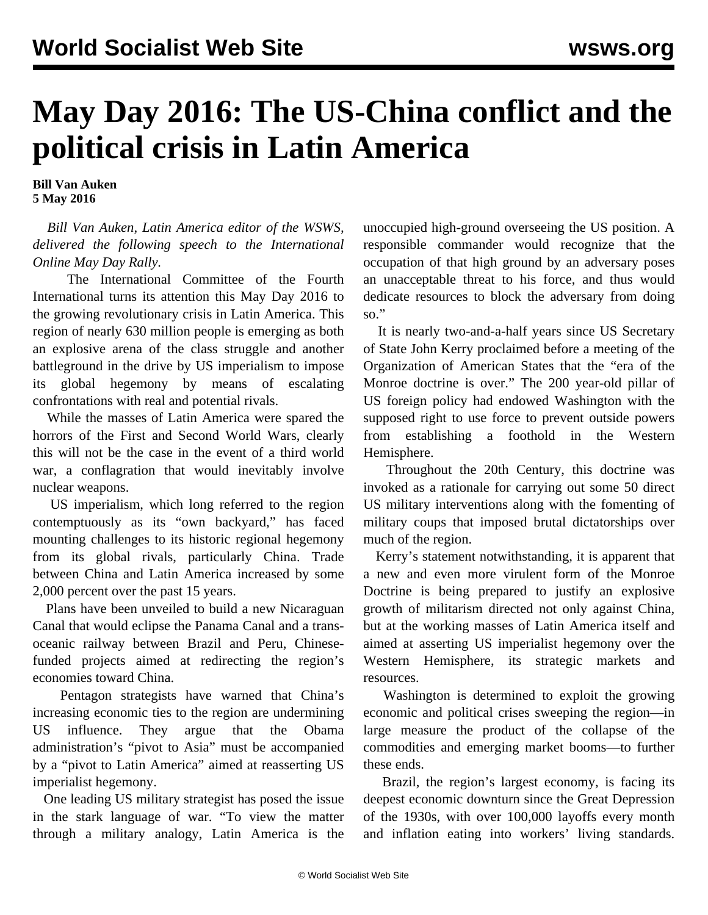## **May Day 2016: The US-China conflict and the political crisis in Latin America**

**Bill Van Auken 5 May 2016**

 *Bill Van Auken, Latin America editor of the WSWS, delivered the following speech to the International Online May Day Rally.*

 The International Committee of the Fourth International turns its attention this May Day 2016 to the growing revolutionary crisis in Latin America. This region of nearly 630 million people is emerging as both an explosive arena of the class struggle and another battleground in the drive by US imperialism to impose its global hegemony by means of escalating confrontations with real and potential rivals.

 While the masses of Latin America were spared the horrors of the First and Second World Wars, clearly this will not be the case in the event of a third world war, a conflagration that would inevitably involve nuclear weapons.

 US imperialism, which long referred to the region contemptuously as its "own backyard," has faced mounting challenges to its historic regional hegemony from its global rivals, particularly China. Trade between China and Latin America increased by some 2,000 percent over the past 15 years.

 Plans have been unveiled to build a new Nicaraguan Canal that would eclipse the Panama Canal and a transoceanic railway between Brazil and Peru, Chinesefunded projects aimed at redirecting the region's economies toward China.

 Pentagon strategists have warned that China's increasing economic ties to the region are undermining US influence. They argue that the Obama administration's "pivot to Asia" must be accompanied by a "pivot to Latin America" aimed at reasserting US imperialist hegemony.

 One leading US military strategist has posed the issue in the stark language of war. "To view the matter through a military analogy, Latin America is the unoccupied high-ground overseeing the US position. A responsible commander would recognize that the occupation of that high ground by an adversary poses an unacceptable threat to his force, and thus would dedicate resources to block the adversary from doing so."

 It is nearly two-and-a-half years since US Secretary of State John Kerry proclaimed before a meeting of the Organization of American States that the "era of the Monroe doctrine is over." The 200 year-old pillar of US foreign policy had endowed Washington with the supposed right to use force to prevent outside powers from establishing a foothold in the Western Hemisphere.

 Throughout the 20th Century, this doctrine was invoked as a rationale for carrying out some 50 direct US military interventions along with the fomenting of military coups that imposed brutal dictatorships over much of the region.

 Kerry's statement notwithstanding, it is apparent that a new and even more virulent form of the Monroe Doctrine is being prepared to justify an explosive growth of militarism directed not only against China, but at the working masses of Latin America itself and aimed at asserting US imperialist hegemony over the Western Hemisphere, its strategic markets and resources.

 Washington is determined to exploit the growing economic and political crises sweeping the region—in large measure the product of the collapse of the commodities and emerging market booms—to further these ends.

 Brazil, the region's largest economy, is facing its deepest economic downturn since the Great Depression of the 1930s, with over 100,000 layoffs every month and inflation eating into workers' living standards.